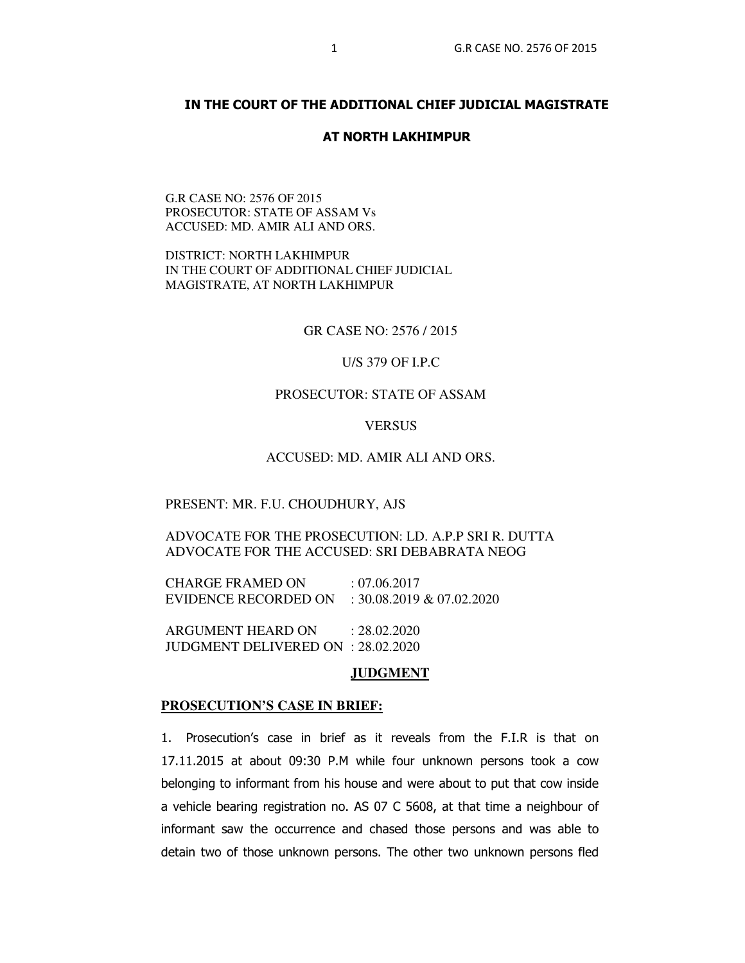## **IN THE COURT OF THE ADDITIONAL CHIEF JUDICIAL MAGISTRATE**

## **AT NORTH LAKHIMPUR**

## G.R CASE NO: 2576 OF 2015 PROSECUTOR: STATE OF ASSAM Vs ACCUSED: MD. AMIR ALI AND ORS.

DISTRICT: NORTH LAKHIMPUR IN THE COURT OF ADDITIONAL CHIEF JUDICIAL MAGISTRATE, AT NORTH LAKHIMPUR

GR CASE NO: 2576 / 2015

### U/S 379 OF I.P.C

## PROSECUTOR: STATE OF ASSAM

#### **VERSUS**

#### ACCUSED: MD. AMIR ALI AND ORS.

#### PRESENT: MR. F.U. CHOUDHURY, AJS

ADVOCATE FOR THE PROSECUTION: LD. A.P.P SRI R. DUTTA ADVOCATE FOR THE ACCUSED: SRI DEBABRATA NEOG

CHARGE FRAMED ON : 07.06.2017 EVIDENCE RECORDED ON : 30.08.2019 & 07.02.2020

ARGUMENT HEARD ON : 28.02.2020 JUDGMENT DELIVERED ON : 28.02.2020

#### **JUDGMENT**

#### **PROSECUTION'S CASE IN BRIEF:**

1. Prosecution's case in brief as it reveals from the F.I.R is that on 17.11.2015 at about 09:30 P.M while four unknown persons took a cow belonging to informant from his house and were about to put that cow inside a vehicle bearing registration no. AS 07 C 5608, at that time a neighbour of informant saw the occurrence and chased those persons and was able to detain two of those unknown persons. The other two unknown persons fled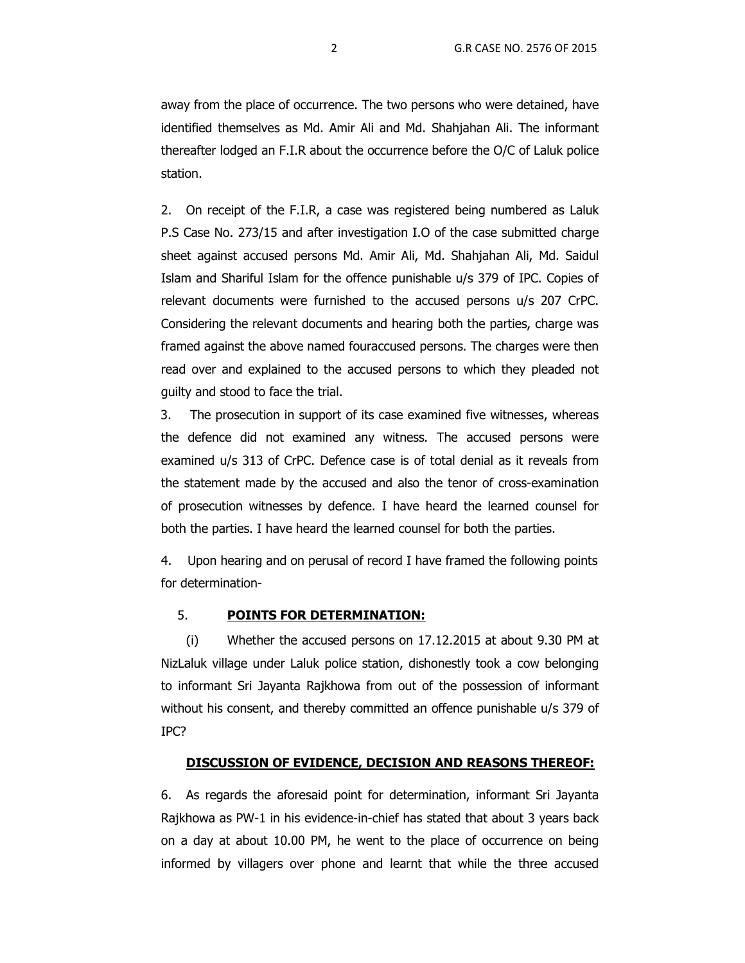away from the place of occurrence. The two persons who were detained, have identified themselves as Md. Amir Ali and Md. Shahjahan Ali. The informant thereafter lodged an F.I.R about the occurrence before the O/C of Laluk police station.

2. On receipt of the F.I.R, a case was registered being numbered as Laluk P.S Case No. 273/15 and after investigation I.O of the case submitted charge sheet against accused persons Md. Amir Ali, Md. Shahjahan Ali, Md. Saidul Islam and Shariful Islam for the offence punishable u/s 379 of IPC. Copies of relevant documents were furnished to the accused persons u/s 207 CrPC. Considering the relevant documents and hearing both the parties, charge was framed against the above named fouraccused persons. The charges were then read over and explained to the accused persons to which they pleaded not guilty and stood to face the trial.

 3. The prosecution in support of its case examined five witnesses, whereas the defence did not examined any witness. The accused persons were examined u/s 313 of CrPC. Defence case is of total denial as it reveals from the statement made by the accused and also the tenor of cross-examination of prosecution witnesses by defence. I have heard the learned counsel for both the parties. I have heard the learned counsel for both the parties.

4. Upon hearing and on perusal of record I have framed the following points for determination-

# 5. **POINTS FOR DETERMINATION:**

(i) Whether the accused persons on 17.12.2015 at about 9.30 PM at NizLaluk village under Laluk police station, dishonestly took a cow belonging to informant Sri Jayanta Rajkhowa from out of the possession of informant without his consent, and thereby committed an offence punishable u/s 379 of IPC?

## **DISCUSSION OF EVIDENCE, DECISION AND REASONS THEREOF:**

6. As regards the aforesaid point for determination, informant Sri Jayanta Rajkhowa as PW-1 in his evidence-in-chief has stated that about 3 years back on a day at about 10.00 PM, he went to the place of occurrence on being informed by villagers over phone and learnt that while the three accused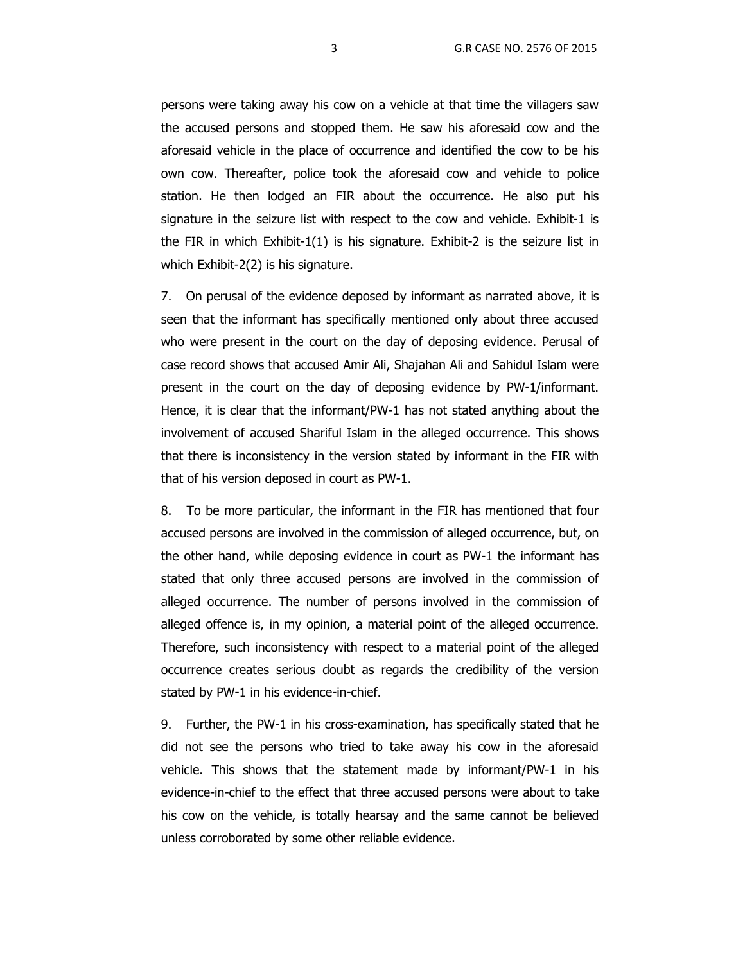persons were taking away his cow on a vehicle at that time the villagers saw the accused persons and stopped them. He saw his aforesaid cow and the aforesaid vehicle in the place of occurrence and identified the cow to be his own cow. Thereafter, police took the aforesaid cow and vehicle to police station. He then lodged an FIR about the occurrence. He also put his signature in the seizure list with respect to the cow and vehicle. Exhibit-1 is the FIR in which Exhibit-1(1) is his signature. Exhibit-2 is the seizure list in which Exhibit-2(2) is his signature.

7. On perusal of the evidence deposed by informant as narrated above, it is seen that the informant has specifically mentioned only about three accused who were present in the court on the day of deposing evidence. Perusal of case record shows that accused Amir Ali, Shajahan Ali and Sahidul Islam were present in the court on the day of deposing evidence by PW-1/informant. Hence, it is clear that the informant/PW-1 has not stated anything about the involvement of accused Shariful Islam in the alleged occurrence. This shows that there is inconsistency in the version stated by informant in the FIR with that of his version deposed in court as PW-1.

8. To be more particular, the informant in the FIR has mentioned that four accused persons are involved in the commission of alleged occurrence, but, on the other hand, while deposing evidence in court as PW-1 the informant has stated that only three accused persons are involved in the commission of alleged occurrence. The number of persons involved in the commission of alleged offence is, in my opinion, a material point of the alleged occurrence. Therefore, such inconsistency with respect to a material point of the alleged occurrence creates serious doubt as regards the credibility of the version stated by PW-1 in his evidence-in-chief.

9. Further, the PW-1 in his cross-examination, has specifically stated that he did not see the persons who tried to take away his cow in the aforesaid vehicle. This shows that the statement made by informant/PW-1 in his evidence-in-chief to the effect that three accused persons were about to take his cow on the vehicle, is totally hearsay and the same cannot be believed unless corroborated by some other reliable evidence.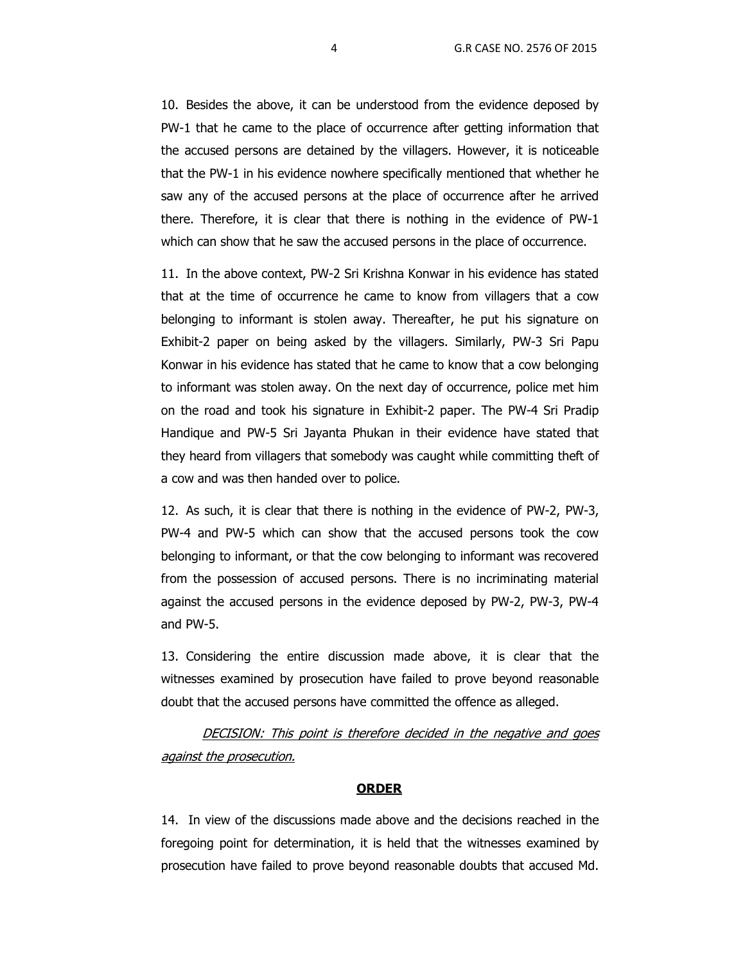10. Besides the above, it can be understood from the evidence deposed by PW-1 that he came to the place of occurrence after getting information that the accused persons are detained by the villagers. However, it is noticeable that the PW-1 in his evidence nowhere specifically mentioned that whether he saw any of the accused persons at the place of occurrence after he arrived there. Therefore, it is clear that there is nothing in the evidence of PW-1 which can show that he saw the accused persons in the place of occurrence.

11. In the above context, PW-2 Sri Krishna Konwar in his evidence has stated that at the time of occurrence he came to know from villagers that a cow belonging to informant is stolen away. Thereafter, he put his signature on Exhibit-2 paper on being asked by the villagers. Similarly, PW-3 Sri Papu Konwar in his evidence has stated that he came to know that a cow belonging to informant was stolen away. On the next day of occurrence, police met him on the road and took his signature in Exhibit-2 paper. The PW-4 Sri Pradip Handique and PW-5 Sri Jayanta Phukan in their evidence have stated that they heard from villagers that somebody was caught while committing theft of a cow and was then handed over to police.

12. As such, it is clear that there is nothing in the evidence of PW-2, PW-3, PW-4 and PW-5 which can show that the accused persons took the cow belonging to informant, or that the cow belonging to informant was recovered from the possession of accused persons. There is no incriminating material against the accused persons in the evidence deposed by PW-2, PW-3, PW-4 and PW-5.

13. Considering the entire discussion made above, it is clear that the witnesses examined by prosecution have failed to prove beyond reasonable doubt that the accused persons have committed the offence as alleged.

DECISION: This point is therefore decided in the negative and goes against the prosecution.

### **ORDER**

14. In view of the discussions made above and the decisions reached in the foregoing point for determination, it is held that the witnesses examined by prosecution have failed to prove beyond reasonable doubts that accused Md.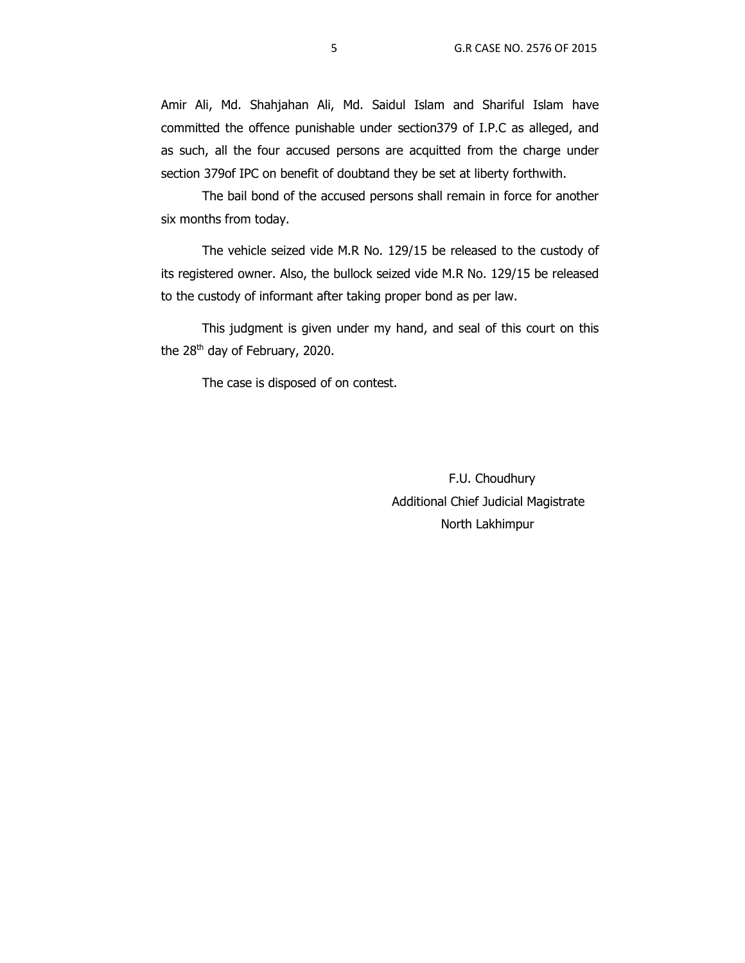Amir Ali, Md. Shahjahan Ali, Md. Saidul Islam and Shariful Islam have committed the offence punishable under section379 of I.P.C as alleged, and as such, all the four accused persons are acquitted from the charge under section 379of IPC on benefit of doubtand they be set at liberty forthwith.

The bail bond of the accused persons shall remain in force for another six months from today.

The vehicle seized vide M.R No. 129/15 be released to the custody of its registered owner. Also, the bullock seized vide M.R No. 129/15 be released to the custody of informant after taking proper bond as per law.

 This judgment is given under my hand, and seal of this court on this the  $28<sup>th</sup>$  day of February, 2020.

The case is disposed of on contest.

 F.U. Choudhury Additional Chief Judicial Magistrate North Lakhimpur